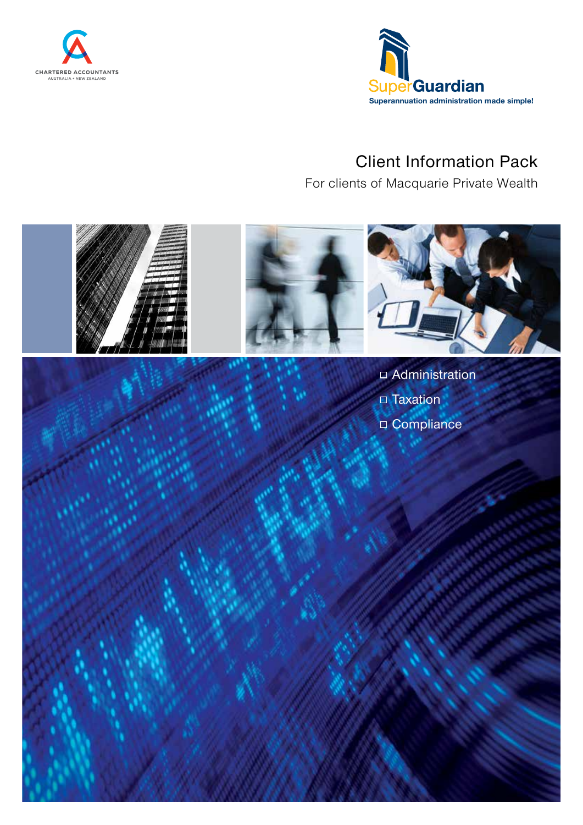



# Client Information Pack

For clients of Macquarie Private Wealth

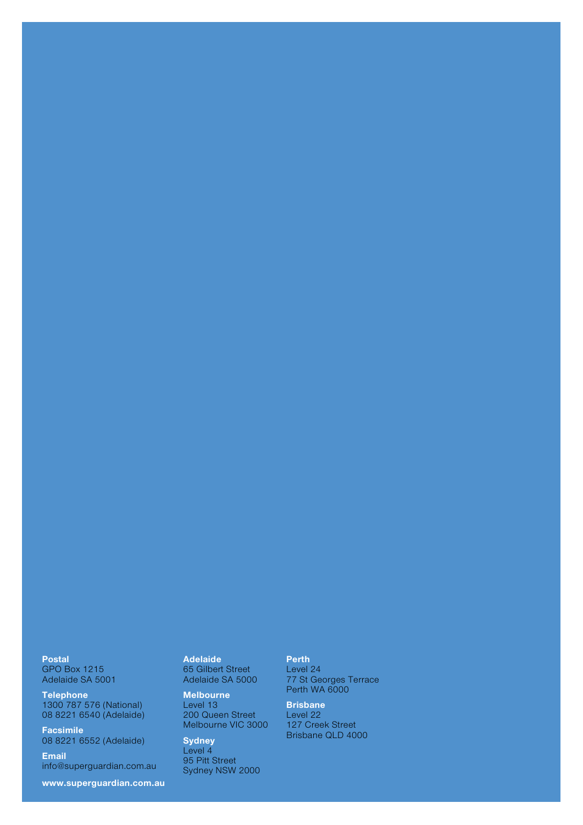**Telephone** 1300 787 576 (National) 08 8221 6540 (Adelaide)

Facsimile 08 8221 6552 (Adelaide)

Email info@superguardian.com.au

www.superguardian.com.au

Adelaide 65 Gilbert Street Adelaide SA 5000

Melbourne Level 13 200 Queen Street Melbourne VIC 3000

**Sydney** Level 4 95 Pitt Street Sydney NSW 2000

### Perth

Level 24 77 St Georges Terrace Perth WA 6000

**Brisbane** Level 22 127 Creek Street Brisbane QLD 4000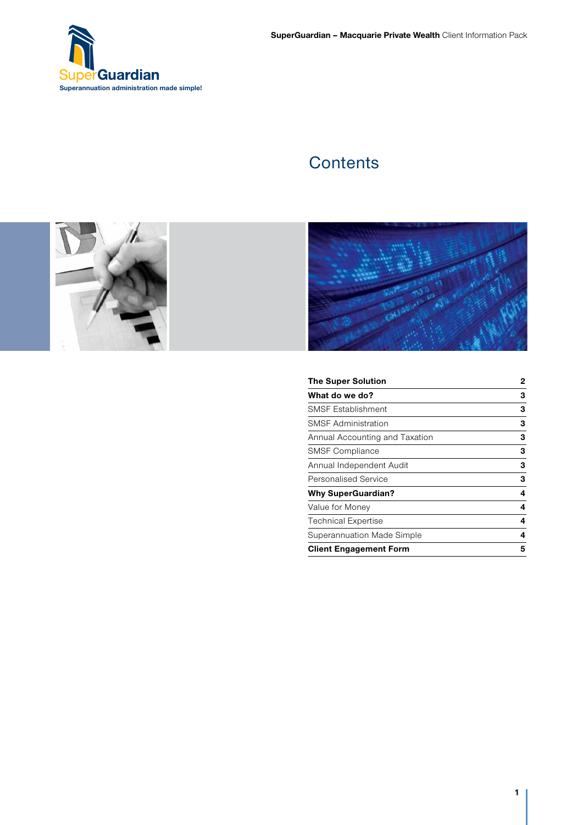

# **Contents**





| <b>The Super Solution</b>      | 2 |
|--------------------------------|---|
| What do we do?                 | 3 |
| <b>SMSF Establishment</b>      | 3 |
| <b>SMSF Administration</b>     | 3 |
| Annual Accounting and Taxation | 3 |
| <b>SMSF Compliance</b>         | 3 |
| Annual Independent Audit       | 3 |
| <b>Personalised Service</b>    | 3 |
| <b>Why SuperGuardian?</b>      | 4 |
| Value for Money                | 4 |
| <b>Technical Expertise</b>     | 4 |
| Superannuation Made Simple     | 4 |
| <b>Client Engagement Form</b>  | 5 |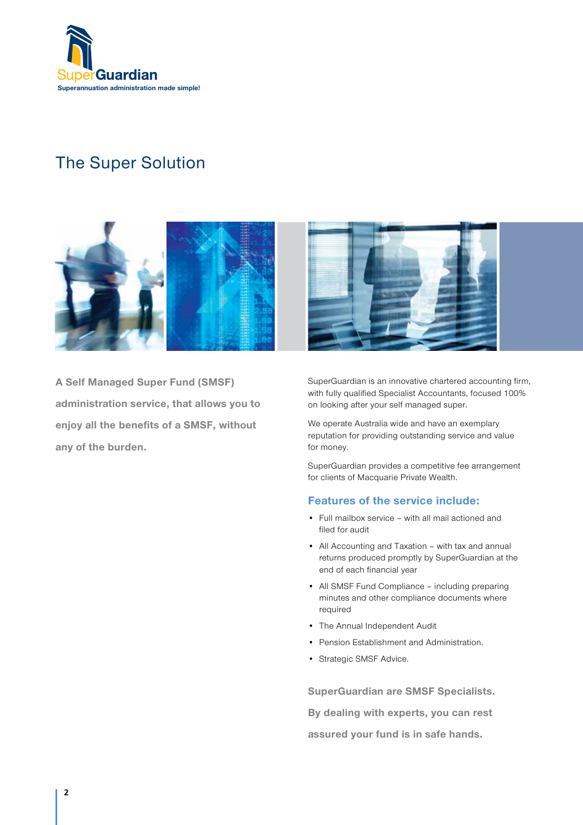

# The Super Solution



A Self Managed Super Fund (SMSF) administration service, that allows you to enjoy all the benefits of a SMSF, without any of the burden.

SuperGuardian is an innovative chartered accounting firm, with fully qualified Specialist Accountants, focused 100% on looking after your self managed super.

We operate Australia wide and have an exemplary reputation for providing outstanding service and value for money.

SuperGuardian provides a competitive fee arrangement for clients of Macquarie Private Wealth.

### Features of the service include:

- Full mailbox service with all mail actioned and filed for audit
- All Accounting and Taxation with tax and annual returns produced promptly by SuperGuardian at the end of each financial year
- All SMSF Fund Compliance including preparing minutes and other compliance documents where required
- The Annual Independent Audit
- Pension Establishment and Administration.
- Strategic SMSF Advice.

SuperGuardian are SMSF Specialists.

By dealing with experts, you can rest

assured your fund is in safe hands.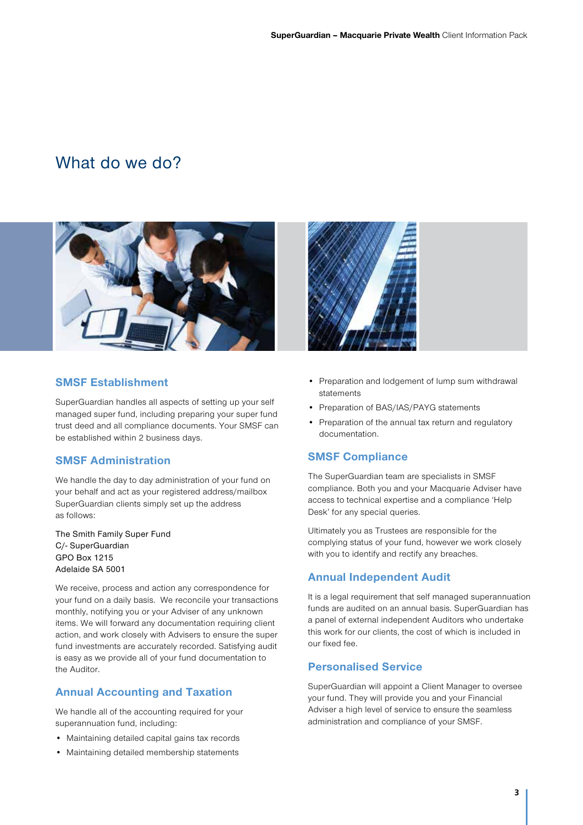# What do we do?



### SMSF Establishment

SuperGuardian handles all aspects of setting up your self managed super fund, including preparing your super fund trust deed and all compliance documents. Your SMSF can be established within 2 business days.

### SMSF Administration

We handle the day to day administration of your fund on your behalf and act as your registered address/mailbox SuperGuardian clients simply set up the address as follows:

The Smith Family Super Fund C/- SuperGuardian GPO Box 1215 Adelaide SA 5001

We receive, process and action any correspondence for your fund on a daily basis. We reconcile your transactions monthly, notifying you or your Adviser of any unknown items. We will forward any documentation requiring client action, and work closely with Advisers to ensure the super fund investments are accurately recorded. Satisfying audit is easy as we provide all of your fund documentation to the Auditor.

### Annual Accounting and Taxation

We handle all of the accounting required for your superannuation fund, including:

- Maintaining detailed capital gains tax records
- Maintaining detailed membership statements



- Preparation and lodgement of lump sum withdrawal statements
- Preparation of BAS/IAS/PAYG statements
- Preparation of the annual tax return and regulatory documentation.

### SMSF Compliance

The SuperGuardian team are specialists in SMSF compliance. Both you and your Macquarie Adviser have access to technical expertise and a compliance 'Help Desk' for any special queries.

Ultimately you as Trustees are responsible for the complying status of your fund, however we work closely with you to identify and rectify any breaches.

### Annual Independent Audit

It is a legal requirement that self managed superannuation funds are audited on an annual basis. SuperGuardian has a panel of external independent Auditors who undertake this work for our clients, the cost of which is included in our fixed fee.

### Personalised Service

SuperGuardian will appoint a Client Manager to oversee your fund. They will provide you and your Financial Adviser a high level of service to ensure the seamless administration and compliance of your SMSF.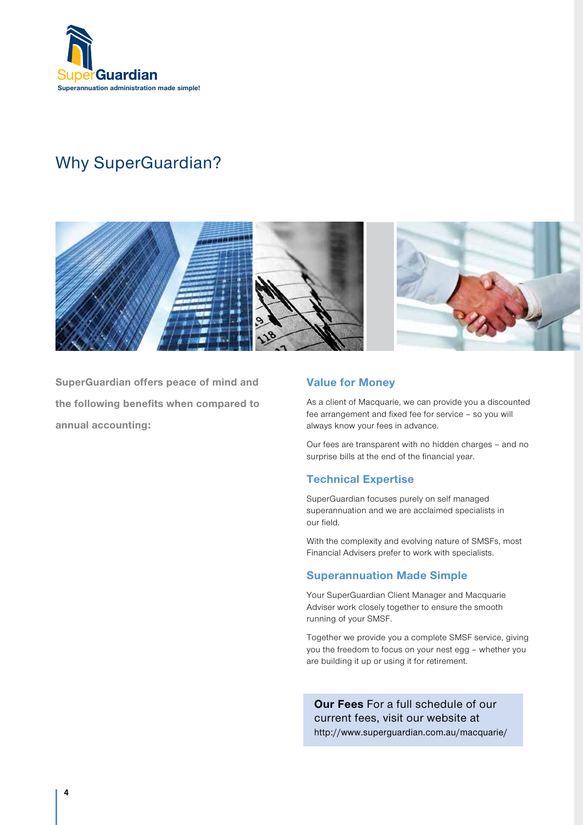

# Why SuperGuardian?



SuperGuardian offers peace of mind and the following benefits when compared to annual accounting:

### Value for Money

As a client of Macquarie, we can provide you a discounted fee arrangement and fixed fee for service – so you will always know your fees in advance.

Our fees are transparent with no hidden charges – and no surprise bills at the end of the financial year.

### Technical Expertise

SuperGuardian focuses purely on self managed superannuation and we are acclaimed specialists in our field.

With the complexity and evolving nature of SMSFs, most Financial Advisers prefer to work with specialists.

### Superannuation Made Simple

Your SuperGuardian Client Manager and Macquarie Adviser work closely together to ensure the smooth running of your SMSF.

Together we provide you a complete SMSF service, giving you the freedom to focus on your nest egg – whether you are building it up or using it for retirement.

Our Fees For a full schedule of our current fees, visit our website at http://www.superguardian.com.au/macquarie/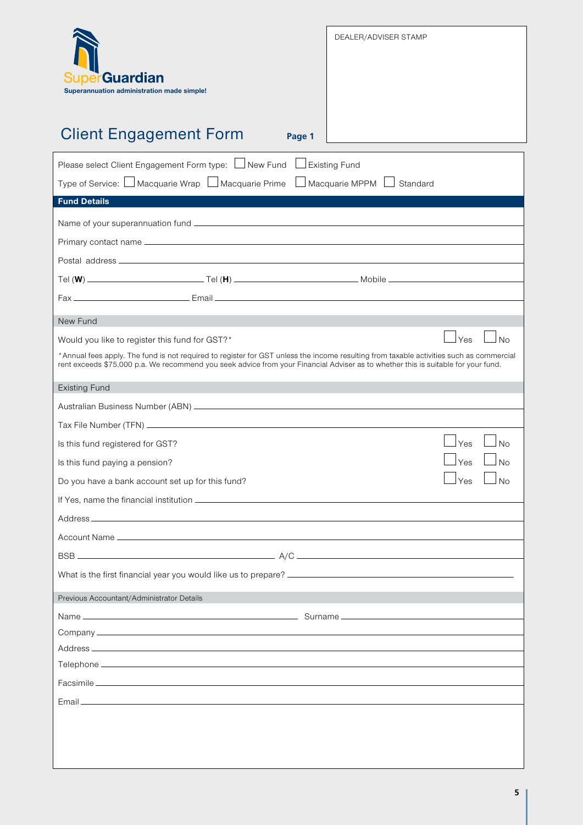| erGuardian<br>Superannuation administration made simple!<br><b>Client Engagement Form</b><br>Page 1                                                                                                                                                                                                                                        | DEALER/ADVISER STAMP                      |
|--------------------------------------------------------------------------------------------------------------------------------------------------------------------------------------------------------------------------------------------------------------------------------------------------------------------------------------------|-------------------------------------------|
| Please select Client Engagement Form type: □New Fund<br>Type of Service: □ Macquarie Wrap □ Macquarie Prime □ Macquarie MPPM □                                                                                                                                                                                                             | <b>Existing Fund</b><br>Standard          |
| <b>Fund Details</b>                                                                                                                                                                                                                                                                                                                        |                                           |
| New Fund<br>Would you like to register this fund for GST?*<br>*Annual fees apply. The fund is not required to register for GST unless the income resulting from taxable activities such as commercial<br>rent exceeds \$75,000 p.a. We recommend you seek advice from your Financial Adviser as to whether this is suitable for your fund. | Yes<br>No                                 |
| <b>Existing Fund</b>                                                                                                                                                                                                                                                                                                                       |                                           |
| Is this fund registered for GST?<br>Is this fund paying a pension?<br>Do you have a bank account set up for this fund?                                                                                                                                                                                                                     | Yes<br><b>No</b><br>Yes<br>N <sub>o</sub> |
|                                                                                                                                                                                                                                                                                                                                            |                                           |
| Previous Accountant/Administrator Details                                                                                                                                                                                                                                                                                                  |                                           |
|                                                                                                                                                                                                                                                                                                                                            |                                           |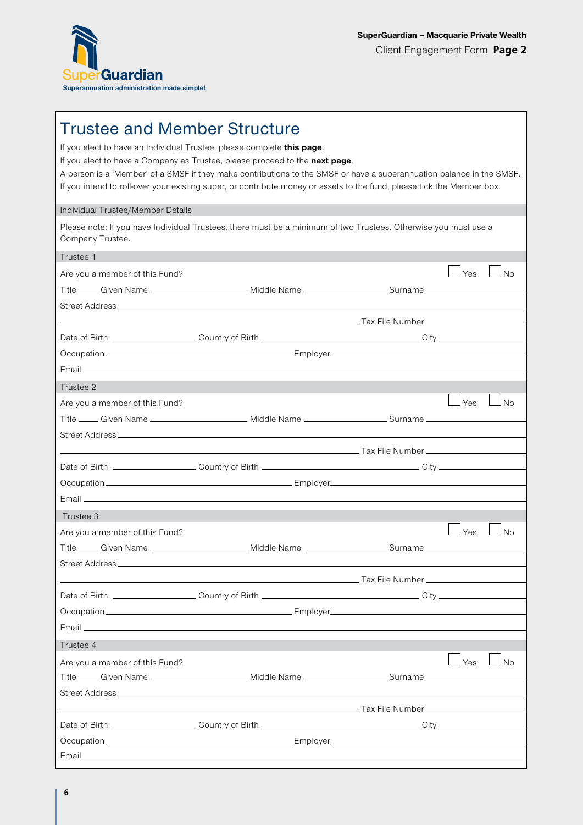

# Trustee and Member Structure

If you elect to have an Individual Trustee, please complete this page. If you elect to have a Company as Trustee, please proceed to the next page. A person is a 'Member' of a SMSF if they make contributions to the SMSF or have a superannuation balance in the SMSF. If you intend to roll-over your existing super, or contribute money or assets to the fund, please tick the Member box.

### Individual Trustee/Member Details

Please note: If you have Individual Trustees, there must be a minimum of two Trustees. Otherwise you must use a Company Trustee.

| Trustee 1                      |                                                                                                                          |     |           |
|--------------------------------|--------------------------------------------------------------------------------------------------------------------------|-----|-----------|
| Are you a member of this Fund? |                                                                                                                          | Yes | J No      |
|                                | Title _____ Given Name _________________________ Middle Name ____________________ Surname ____________________           |     |           |
|                                |                                                                                                                          |     |           |
|                                | <u>December 2007 - Andrea Tax File Number 2008 - Andre State Manuel 2008 - Andre State Manuel 2008 - Andre State </u>    |     |           |
|                                |                                                                                                                          |     |           |
|                                |                                                                                                                          |     |           |
|                                |                                                                                                                          |     |           |
| Trustee 2                      |                                                                                                                          |     |           |
| Are you a member of this Fund? |                                                                                                                          | Yes | l No      |
|                                | Title _____ Given Name __________________________ Middle Name ______________________Surname __________________           |     |           |
|                                |                                                                                                                          |     |           |
|                                | <u>Alexander Communication (September 2001)</u> Tax File Number 2002 and 2004 and 2004 and 2004 and 2004 and 2004 and 20 |     |           |
|                                |                                                                                                                          |     |           |
|                                |                                                                                                                          |     |           |
|                                |                                                                                                                          |     |           |
| Trustee 3                      |                                                                                                                          |     |           |
| Are you a member of this Fund? |                                                                                                                          | Yes | $\Box$ No |
|                                | Title _____ Given Name _________________________ Middle Name ___________________ Surname ____________________            |     |           |
|                                |                                                                                                                          |     |           |
|                                |                                                                                                                          |     |           |
|                                |                                                                                                                          |     |           |
|                                |                                                                                                                          |     |           |
|                                |                                                                                                                          |     |           |
| Trustee 4                      |                                                                                                                          |     |           |
| Are you a member of this Fund? |                                                                                                                          | Yes | l No      |
|                                | Title _____ Given Name __________________________ Middle Name ___________________ Surname _________                      |     |           |
| Street Address.                |                                                                                                                          |     |           |
|                                |                                                                                                                          |     |           |
|                                |                                                                                                                          |     |           |
|                                |                                                                                                                          |     |           |
|                                |                                                                                                                          |     |           |
|                                |                                                                                                                          |     |           |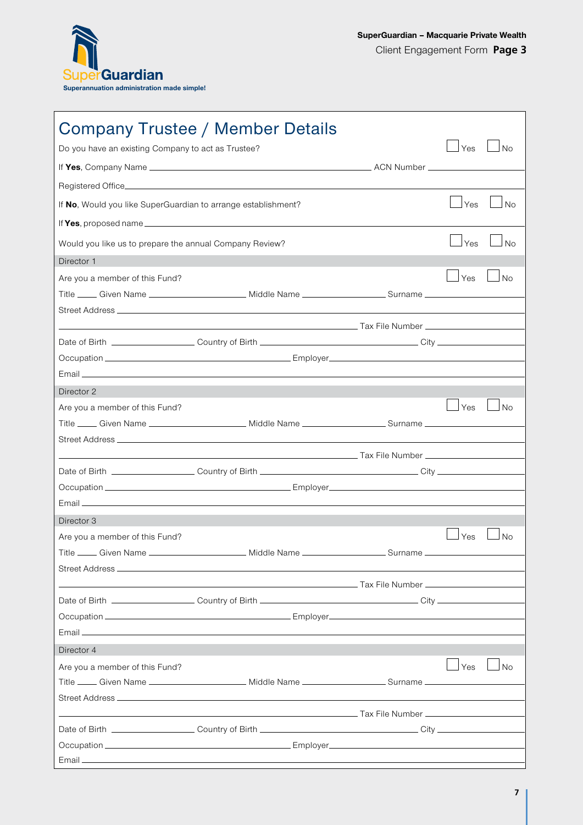

|                                                               | Company Trustee / Member Details                                                                                      |               |           |
|---------------------------------------------------------------|-----------------------------------------------------------------------------------------------------------------------|---------------|-----------|
| Do you have an existing Company to act as Trustee?            |                                                                                                                       | $\rfloor$ Yes | $\Box$ No |
|                                                               |                                                                                                                       |               |           |
|                                                               |                                                                                                                       |               |           |
| If No, Would you like SuperGuardian to arrange establishment? |                                                                                                                       | Yes           | No        |
|                                                               |                                                                                                                       |               |           |
| Would you like us to prepare the annual Company Review?       |                                                                                                                       | Yes           | No        |
| Director 1                                                    |                                                                                                                       |               |           |
| Are you a member of this Fund?                                |                                                                                                                       | Yes           | No        |
|                                                               | Title _____ Given Name _________________________ Middle Name ____________________ Surname ___________________         |               |           |
|                                                               |                                                                                                                       |               |           |
|                                                               |                                                                                                                       |               |           |
|                                                               |                                                                                                                       |               |           |
|                                                               |                                                                                                                       |               |           |
|                                                               |                                                                                                                       |               |           |
| Director 2                                                    |                                                                                                                       |               |           |
| Are you a member of this Fund?                                |                                                                                                                       | l Yes         | J No      |
|                                                               | Title _____ Given Name __________________________ Middle Name ___________________ Surname ____________________        |               |           |
|                                                               |                                                                                                                       |               |           |
|                                                               |                                                                                                                       |               |           |
|                                                               |                                                                                                                       |               |           |
|                                                               |                                                                                                                       |               |           |
|                                                               |                                                                                                                       |               |           |
| Director 3                                                    |                                                                                                                       |               |           |
| Are you a member of this Fund?                                |                                                                                                                       | Yes           | No        |
|                                                               | Title ____ Given Name _____________________ Middle Name __________________ Surname ___________                        |               |           |
|                                                               |                                                                                                                       |               |           |
|                                                               |                                                                                                                       |               |           |
|                                                               | <u>in the second control of the second control of the second control of the Number of the Number of the Second Co</u> |               |           |
|                                                               |                                                                                                                       |               |           |
|                                                               |                                                                                                                       |               |           |
|                                                               |                                                                                                                       |               |           |
| Director 4                                                    |                                                                                                                       |               |           |
| Are you a member of this Fund?                                |                                                                                                                       | $\Box$ Yes    | $\Box$ No |
|                                                               | Title _____ Given Name _________________________ Middle Name ___________________ Surname _____________________        |               |           |
|                                                               |                                                                                                                       |               |           |
|                                                               |                                                                                                                       |               |           |
|                                                               |                                                                                                                       |               |           |
|                                                               |                                                                                                                       |               |           |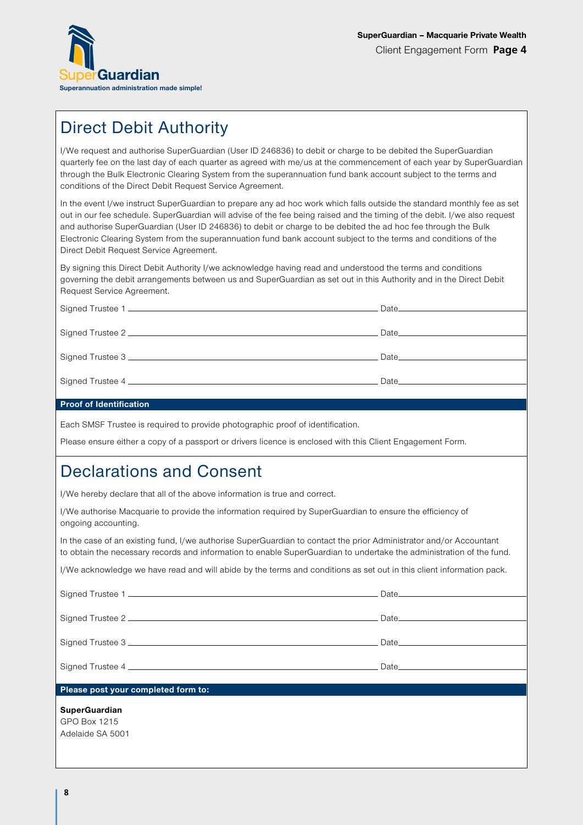

# Direct Debit Authority

I/We request and authorise SuperGuardian (User ID 246836) to debit or charge to be debited the SuperGuardian quarterly fee on the last day of each quarter as agreed with me/us at the commencement of each year by SuperGuardian through the Bulk Electronic Clearing System from the superannuation fund bank account subject to the terms and conditions of the Direct Debit Request Service Agreement.

In the event I/we instruct SuperGuardian to prepare any ad hoc work which falls outside the standard monthly fee as set out in our fee schedule. SuperGuardian will advise of the fee being raised and the timing of the debit. I/we also request and authorise SuperGuardian (User ID 246836) to debit or charge to be debited the ad hoc fee through the Bulk Electronic Clearing System from the superannuation fund bank account subject to the terms and conditions of the Direct Debit Request Service Agreement.

By signing this Direct Debit Authority I/we acknowledge having read and understood the terms and conditions governing the debit arrangements between us and SuperGuardian as set out in this Authority and in the Direct Debit Request Service Agreement.

| Date and the contract of the contract of the contract of the contract of the contract of the contract of the c |
|----------------------------------------------------------------------------------------------------------------|
|                                                                                                                |

### Proof of Identification

Each SMSF Trustee is required to provide photographic proof of identification.

Please ensure either a copy of a passport or drivers licence is enclosed with this Client Engagement Form.

## Declarations and Consent

I/We hereby declare that all of the above information is true and correct.

I/We authorise Macquarie to provide the information required by SuperGuardian to ensure the efficiency of ongoing accounting.

In the case of an existing fund, I/we authorise SuperGuardian to contact the prior Administrator and/or Accountant to obtain the necessary records and information to enable SuperGuardian to undertake the administration of the fund.

I/We acknowledge we have read and will abide by the terms and conditions as set out in this client information pack.

| Please post your completed form to:                      |  |
|----------------------------------------------------------|--|
| <b>SuperGuardian</b><br>GPO Box 1215<br>Adelaide SA 5001 |  |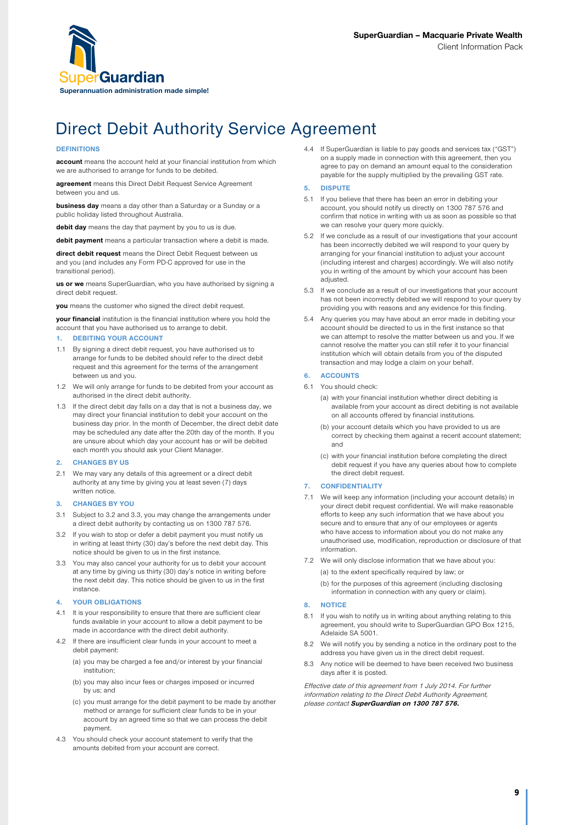

# Direct Debit Authority Service Agreement

#### **DEFINITIONS**

account means the account held at your financial institution from which we are authorised to arrange for funds to be debited.

agreement means this Direct Debit Request Service Agreement between you and us.

business day means a day other than a Saturday or a Sunday or a public holiday listed throughout Australia.

debit day means the day that payment by you to us is due.

debit payment means a particular transaction where a debit is made.

direct debit request means the Direct Debit Request between us and you (and includes any Form PD-C approved for use in the transitional period).

us or we means SuperGuardian, who you have authorised by signing a direct debit request.

you means the customer who signed the direct debit request.

your financial institution is the financial institution where you hold the account that you have authorised us to arrange to debit.

#### 1. DEBITING YOUR ACCOUNT

- 1.1 By signing a direct debit request, you have authorised us to arrange for funds to be debited should refer to the direct debit request and this agreement for the terms of the arrangement between us and you.
- 1.2 We will only arrange for funds to be debited from your account as authorised in the direct debit authority.
- 1.3 If the direct debit day falls on a day that is not a business day, we may direct your financial institution to debit your account on the business day prior. In the month of December, the direct debit date may be scheduled any date after the 20th day of the month. If you are unsure about which day your account has or will be debited each month you should ask your Client Manager.

#### 2. CHANGES BY US

2.1 We may vary any details of this agreement or a direct debit authority at any time by giving you at least seven (7) days written notice.

#### 3. CHANGES BY YOU

- 3.1 Subject to 3.2 and 3.3, you may change the arrangements under a direct debit authority by contacting us on 1300 787 576.
- 3.2 If you wish to stop or defer a debit payment you must notify us in writing at least thirty (30) day's before the next debit day. This notice should be given to us in the first instance.
- 3.3 You may also cancel your authority for us to debit your account at any time by giving us thirty (30) day's notice in writing before the next debit day. This notice should be given to us in the first instance

#### YOUR OBLIGATIONS

- 4.1 It is your responsibility to ensure that there are sufficient clear funds available in your account to allow a debit payment to be made in accordance with the direct debit authority.
- 4.2 If there are insufficient clear funds in your account to meet a debit payment:
	- (a) you may be charged a fee and/or interest by your financial institution;
	- (b) you may also incur fees or charges imposed or incurred by us; and
	- (c) you must arrange for the debit payment to be made by another method or arrange for sufficient clear funds to be in your account by an agreed time so that we can process the debit payment.
- 4.3 You should check your account statement to verify that the amounts debited from your account are correct.

4.4 If SuperGuardian is liable to pay goods and services tax ("GST") on a supply made in connection with this agreement, then you agree to pay on demand an amount equal to the consideration payable for the supply multiplied by the prevailing GST rate.

#### 5. DISPUTE

- 5.1 If you believe that there has been an error in debiting your account, you should notify us directly on 1300 787 576 and confirm that notice in writing with us as soon as possible so that we can resolve your query more quickly.
- 5.2 If we conclude as a result of our investigations that your account has been incorrectly debited we will respond to your query by arranging for your financial institution to adjust your account (including interest and charges) accordingly. We will also notify you in writing of the amount by which your account has been adjusted.
- 5.3 If we conclude as a result of our investigations that your account has not been incorrectly debited we will respond to your query by providing you with reasons and any evidence for this finding.
- 5.4 Any queries you may have about an error made in debiting your account should be directed to us in the first instance so that we can attempt to resolve the matter between us and you. If we cannot resolve the matter you can still refer it to your financial institution which will obtain details from you of the disputed transaction and may lodge a claim on your behalf.

#### 6. ACCOUNTS

- 6.1 You should check:
	- (a) with your financial institution whether direct debiting is available from your account as direct debiting is not available on all accounts offered by financial institutions.
	- (b) your account details which you have provided to us are correct by checking them against a recent account statement; and
	- (c) with your financial institution before completing the direct debit request if you have any queries about how to complete the direct debit request.

#### 7. CONFIDENTIALITY

- 7.1 We will keep any information (including your account details) in your direct debit request confidential. We will make reasonable efforts to keep any such information that we have about you secure and to ensure that any of our employees or agents who have access to information about you do not make any unauthorised use, modification, reproduction or disclosure of that information.
- 7.2 We will only disclose information that we have about you:

(a) to the extent specifically required by law; or

(b) for the purposes of this agreement (including disclosing information in connection with any query or claim).

#### 8. NOTICE

- 8.1 If you wish to notify us in writing about anything relating to this agreement, you should write to SuperGuardian GPO Box 1215, Adelaide SA 5001.
- 8.2 We will notify you by sending a notice in the ordinary post to the address you have given us in the direct debit request.
- 8.3 Any notice will be deemed to have been received two business days after it is posted.

Effective date of this agreement from 1 July 2014. For further information relating to the Direct Debit Authority Agreement, please contact SuperGuardian on 1300 787 576.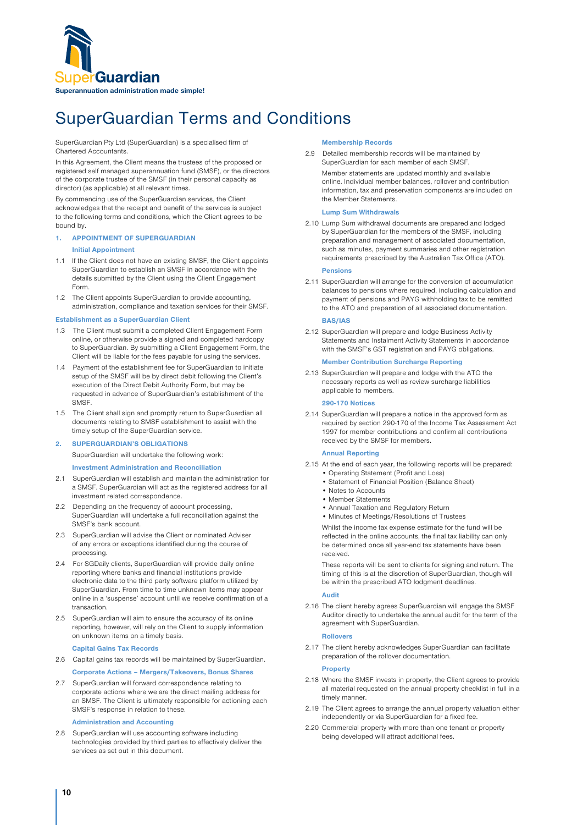

# SuperGuardian Terms and Conditions

SuperGuardian Pty Ltd (SuperGuardian) is a specialised firm of Chartered Accountants.

In this Agreement, the Client means the trustees of the proposed or registered self managed superannuation fund (SMSF), or the directors of the corporate trustee of the SMSF (in their personal capacity as director) (as applicable) at all relevant times.

By commencing use of the SuperGuardian services, the Client acknowledges that the receipt and benefit of the services is subject to the following terms and conditions, which the Client agrees to be bound by.

#### 1. APPOINTMENT OF SUPERGUARDIAN

#### Initial Appointment

- 1.1 If the Client does not have an existing SMSF, the Client appoints SuperGuardian to establish an SMSF in accordance with the details submitted by the Client using the Client Engagement Form.
- 1.2 The Client appoints SuperGuardian to provide accounting, administration, compliance and taxation services for their SMSF.

#### Establishment as a SuperGuardian Client

- 1.3 The Client must submit a completed Client Engagement Form online, or otherwise provide a signed and completed hardcopy to SuperGuardian. By submitting a Client Engagement Form, the Client will be liable for the fees payable for using the services.
- 1.4 Payment of the establishment fee for SuperGuardian to initiate setup of the SMSF will be by direct debit following the Client's execution of the Direct Debit Authority Form, but may be requested in advance of SuperGuardian's establishment of the **SMSF**
- 1.5 The Client shall sign and promptly return to SuperGuardian all documents relating to SMSF establishment to assist with the timely setup of the SuperGuardian service.

#### 2. SUPERGUARDIAN'S OBLIGATIONS

SuperGuardian will undertake the following work:

#### Investment Administration and Reconciliation

- 2.1 SuperGuardian will establish and maintain the administration for a SMSF. SuperGuardian will act as the registered address for all investment related correspondence.
- 2.2 Depending on the frequency of account processing, SuperGuardian will undertake a full reconciliation against the SMSF's bank account.
- 2.3 SuperGuardian will advise the Client or nominated Adviser of any errors or exceptions identified during the course of processing.
- 2.4 For SGDaily clients, SuperGuardian will provide daily online reporting where banks and financial institutions provide electronic data to the third party software platform utilized by SuperGuardian. From time to time unknown items may appear online in a 'suspense' account until we receive confirmation of a transaction.
- 2.5 SuperGuardian will aim to ensure the accuracy of its online reporting, however, will rely on the Client to supply information on unknown items on a timely basis.

#### Capital Gains Tax Records

2.6 Capital gains tax records will be maintained by SuperGuardian.

Corporate Actions – Mergers/Takeovers, Bonus Shares

2.7 SuperGuardian will forward correspondence relating to corporate actions where we are the direct mailing address for an SMSF. The Client is ultimately responsible for actioning each SMSF's response in relation to these.

#### Administration and Accounting

2.8 SuperGuardian will use accounting software including technologies provided by third parties to effectively deliver the services as set out in this document.

#### Membership Records

2.9 Detailed membership records will be maintained by SuperGuardian for each member of each SMSF.

Member statements are updated monthly and available online. Individual member balances, rollover and contribution information, tax and preservation components are included on the Member Statements.

#### Lump Sum Withdrawals

2.10 Lump Sum withdrawal documents are prepared and lodged by SuperGuardian for the members of the SMSF, including preparation and management of associated documentation, such as minutes, payment summaries and other registration requirements prescribed by the Australian Tax Office (ATO).

#### Pensions

2.11 SuperGuardian will arrange for the conversion of accumulation balances to pensions where required, including calculation and payment of pensions and PAYG withholding tax to be remitted to the ATO and preparation of all associated documentation.

#### BAS/IAS

2.12 SuperGuardian will prepare and lodge Business Activity Statements and Instalment Activity Statements in accordance with the SMSF's GST registration and PAYG obligations.

#### Member Contribution Surcharge Reporting

2.13 SuperGuardian will prepare and lodge with the ATO the necessary reports as well as review surcharge liabilities applicable to members.

#### 290-170 Notices

2.14 SuperGuardian will prepare a notice in the approved form as required by section 290-170 of the Income Tax Assessment Act 1997 for member contributions and confirm all contributions received by the SMSF for members.

#### Annual Reporting

- 2.15 At the end of each year, the following reports will be prepared:
	- Operating Statement (Profit and Loss) • Statement of Financial Position (Balance Sheet)
	- Notes to Accounts
	- Member Statements
	- Annual Taxation and Regulatory Return
	- Minutes of Meetings/Resolutions of Trustees

Whilst the income tax expense estimate for the fund will be reflected in the online accounts, the final tax liability can only be determined once all year-end tax statements have been received.

These reports will be sent to clients for signing and return. The timing of this is at the discretion of SuperGuardian, though will be within the prescribed ATO lodgment deadlines.

#### Audit

2.16 The client hereby agrees SuperGuardian will engage the SMSF Auditor directly to undertake the annual audit for the term of the agreement with SuperGuardian.

#### Rollovers

2.17 The client hereby acknowledges SuperGuardian can facilitate preparation of the rollover documentation.

#### **Property**

- 2.18 Where the SMSF invests in property, the Client agrees to provide all material requested on the annual property checklist in full in a timely manner.
- 2.19 The Client agrees to arrange the annual property valuation either independently or via SuperGuardian for a fixed fee.
- 2.20 Commercial property with more than one tenant or property being developed will attract additional fees.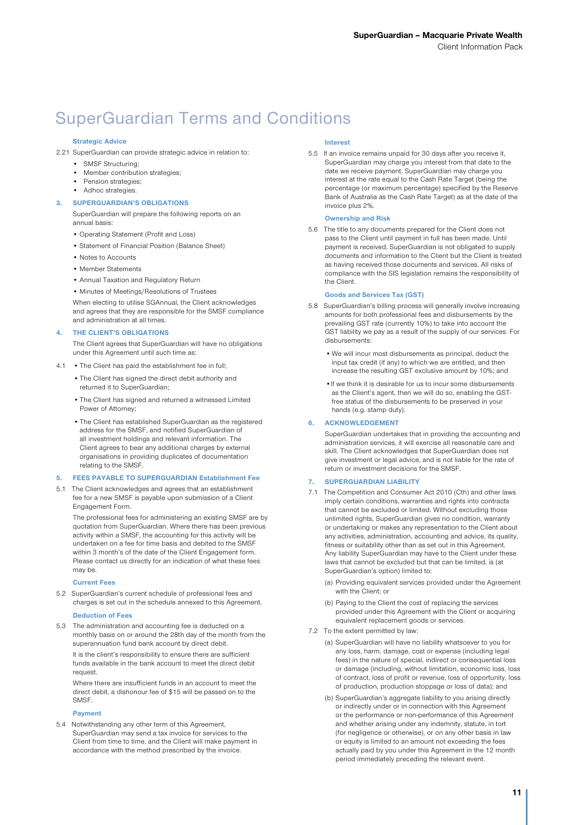# SuperGuardian Terms and Conditions

#### Strategic Advice

- 2.21 SuperGuardian can provide strategic advice in relation to:
	- SMSF Structuring;
	- Member contribution strategies;
	- Pension strategies;
	- Adhoc strategies.
	- SUPERGUARDIAN'S OBLIGATIONS

SuperGuardian will prepare the following reports on an annual basis:

- Operating Statement (Profit and Loss)
- Statement of Financial Position (Balance Sheet)
- Notes to Accounts
- Member Statements
- Annual Taxation and Regulatory Return
- Minutes of Meetings/Resolutions of Trustees

When electing to utilise SGAnnual, the Client acknowledges and agrees that they are responsible for the SMSF compliance and administration at all times.

#### 4. THE CLIENT'S OBLIGATIONS

The Client agrees that SuperGuardian will have no obligations under this Agreement until such time as:

- 4.1 The Client has paid the establishment fee in full;
	- •The Client has signed the direct debit authority and returned it to SuperGuardian;
	- •The Client has signed and returned a witnessed Limited Power of Attorney;
	- •The Client has established SuperGuardian as the registered address for the SMSF, and notified SuperGuardian of all investment holdings and relevant information. The Client agrees to bear any additional charges by external organisations in providing duplicates of documentation relating to the SMSF.

#### 5. FEES PAYABLE TO SUPERGUARDIAN Establishment Fee

5.1 The Client acknowledges and agrees that an establishment fee for a new SMSF is payable upon submission of a Client Engagement Form.

The professional fees for administering an existing SMSF are by quotation from SuperGuardian. Where there has been previous activity within a SMSF, the accounting for this activity will be undertaken on a fee for time basis and debited to the SMSF within 3 month's of the date of the Client Engagement form. Please contact us directly for an indication of what these fees may be.

#### Current Fees

5.2 SuperGuardian's current schedule of professional fees and charges is set out in the schedule annexed to this Agreement.

#### Deduction of Fees

5.3 The administration and accounting fee is deducted on a monthly basis on or around the 28th day of the month from the superannuation fund bank account by direct debit.

It is the client's responsibility to ensure there are sufficient funds available in the bank account to meet the direct debit request.

Where there are insufficient funds in an account to meet the direct debit, a dishonour fee of \$15 will be passed on to the SMSF.

#### Payment

5.4 Notwithstanding any other term of this Agreement, SuperGuardian may send a tax invoice for services to the Client from time to time, and the Client will make payment in accordance with the method prescribed by the invoice.

#### Interest

5.5 If an invoice remains unpaid for 30 days after you receive it, SuperGuardian may charge you interest from that date to the date we receive payment. SuperGuardian may charge you interest at the rate equal to the Cash Rate Target (being the percentage (or maximum percentage) specified by the Reserve Bank of Australia as the Cash Rate Target) as at the date of the invoice plus 2%.

#### Ownership and Risk

5.6 The title to any documents prepared for the Client does not pass to the Client until payment in full has been made. Until payment is received, SuperGuardian is not obligated to supply documents and information to the Client but the Client is treated as having received those documents and services. All risks of compliance with the SIS legislation remains the responsibility of the Client.

#### Goods and Services Tax (GST)

- 5.8 SuperGuardian's billing process will generally involve increasing amounts for both professional fees and disbursements by the prevailing GST rate (currently 10%) to take into account the GST liability we pay as a result of the supply of our services. For disbursements:
	- We will incur most disbursements as principal, deduct the input tax credit (if any) to which we are entitled, and then increase the resulting GST exclusive amount by 10%; and
	- •If we think it is desirable for us to incur some disbursements as the Client's agent, then we will do so, enabling the GSTfree status of the disbursements to be preserved in your hands (e.g. stamp duty).

#### 6. ACKNOWLEDGEMENT

SuperGuardian undertakes that in providing the accounting and administration services, it will exercise all reasonable care and skill. The Client acknowledges that SuperGuardian does not give investment or legal advice, and is not liable for the rate of return or investment decisions for the SMSF.

#### 7. SUPERGUARDIAN LIABILITY

- 7.1 The Competition and Consumer Act 2010 (Cth) and other laws imply certain conditions, warranties and rights into contracts that cannot be excluded or limited. Without excluding those unlimited rights, SuperGuardian gives no condition, warranty or undertaking or makes any representation to the Client about any activities, administration, accounting and advice, its quality, fitness or suitability other than as set out in this Agreement. Any liability SuperGuardian may have to the Client under these laws that cannot be excluded but that can be limited, is (at SuperGuardian's option) limited to:
	- (a) Providing equivalent services provided under the Agreement with the Client; or
	- (b) Paying to the Client the cost of replacing the services provided under this Agreement with the Client or acquiring equivalent replacement goods or services.
- 7.2 To the extent permitted by law:
	- (a) SuperGuardian will have no liability whatsoever to you for any loss, harm, damage, cost or expense (including legal fees) in the nature of special, indirect or consequential loss or damage (including, without limitation, economic loss, loss of contract, loss of profit or revenue, loss of opportunity, loss of production, production stoppage or loss of data); and
	- (b) SuperGuardian's aggregate liability to you arising directly or indirectly under or in connection with this Agreement or the performance or non-performance of this Agreement and whether arising under any indemnity, statute, in tort (for negligence or otherwise), or on any other basis in law or equity is limited to an amount not exceeding the fees actually paid by you under this Agreement in the 12 month period immediately preceding the relevant event.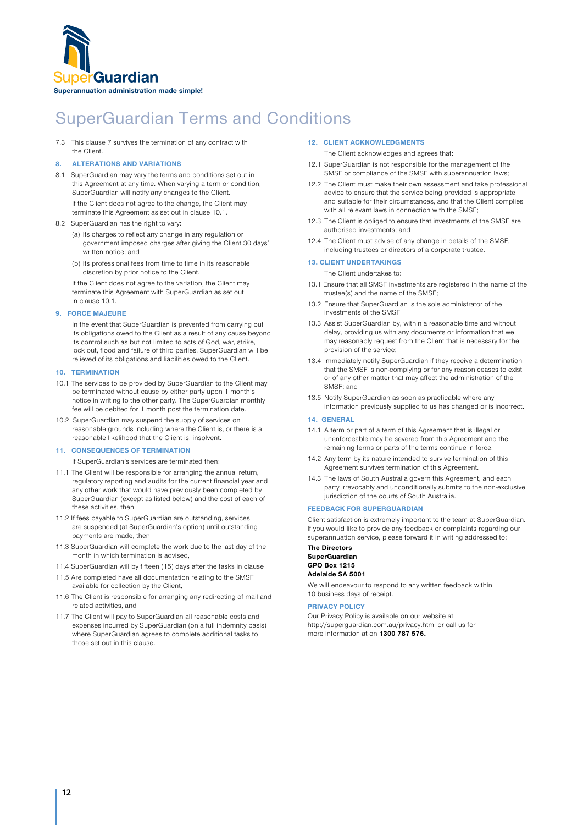

# SuperGuardian Terms and Conditions

7.3 This clause 7 survives the termination of any contract with the Client.

#### 8. ALTERATIONS AND VARIATIONS

- 8.1 SuperGuardian may vary the terms and conditions set out in this Agreement at any time. When varying a term or condition, SuperGuardian will notify any changes to the Client. If the Client does not agree to the change, the Client may terminate this Agreement as set out in clause 10.1.
- 8.2 SuperGuardian has the right to vary:
	- (a) Its charges to reflect any change in any regulation or government imposed charges after giving the Client 30 days' written notice; and
	- (b) Its professional fees from time to time in its reasonable discretion by prior notice to the Client.

If the Client does not agree to the variation, the Client may terminate this Agreement with SuperGuardian as set out in clause 10.1.

#### 9. FORCE MAJEURE

In the event that SuperGuardian is prevented from carrying out its obligations owed to the Client as a result of any cause beyond its control such as but not limited to acts of God, war, strike lock out, flood and failure of third parties, SuperGuardian will be relieved of its obligations and liabilities owed to the Client.

#### 10. TERMINATION

- 10.1 The services to be provided by SuperGuardian to the Client may be terminated without cause by either party upon 1 month's notice in writing to the other party. The SuperGuardian monthly fee will be debited for 1 month post the termination date.
- 10.2 SuperGuardian may suspend the supply of services on reasonable grounds including where the Client is, or there is a reasonable likelihood that the Client is, insolvent.

#### 11. CONSEQUENCES OF TERMINATION

If SuperGuardian's services are terminated then:

- 11.1 The Client will be responsible for arranging the annual return, regulatory reporting and audits for the current financial year and any other work that would have previously been completed by SuperGuardian (except as listed below) and the cost of each of these activities, then
- 11.2 If fees payable to SuperGuardian are outstanding, services are suspended (at SuperGuardian's option) until outstanding payments are made, then
- 11.3 SuperGuardian will complete the work due to the last day of the month in which termination is advised,
- 11.4 SuperGuardian will by fifteen (15) days after the tasks in clause
- 11.5 Are completed have all documentation relating to the SMSF available for collection by the Client,
- 11.6 The Client is responsible for arranging any redirecting of mail and related activities, and
- 11.7 The Client will pay to SuperGuardian all reasonable costs and expenses incurred by SuperGuardian (on a full indemnity basis) where SuperGuardian agrees to complete additional tasks to those set out in this clause.

#### 12. CLIENT ACKNOWLEDGMENTS

The Client acknowledges and agrees that:

- 12.1 SuperGuardian is not responsible for the management of the SMSF or compliance of the SMSF with superannuation laws;
- 12.2 The Client must make their own assessment and take professional advice to ensure that the service being provided is appropriate and suitable for their circumstances, and that the Client complies with all relevant laws in connection with the SMSF;
- 12.3 The Client is obliged to ensure that investments of the SMSF are authorised investments; and
- 12.4 The Client must advise of any change in details of the SMSF, including trustees or directors of a corporate trustee.

#### 13. CLIENT UNDERTAKINGS

The Client undertakes to:

- 13.1 Ensure that all SMSF investments are registered in the name of the trustee(s) and the name of the SMSF;
- 13.2 Ensure that SuperGuardian is the sole administrator of the investments of the SMSF
- 13.3 Assist SuperGuardian by, within a reasonable time and without delay, providing us with any documents or information that we may reasonably request from the Client that is necessary for the provision of the service;
- 13.4 Immediately notify SuperGuardian if they receive a determination that the SMSF is non-complying or for any reason ceases to exist or of any other matter that may affect the administration of the SMSF; and
- 13.5 Notify SuperGuardian as soon as practicable where any information previously supplied to us has changed or is incorrect.

#### 14. GENERAL

- 14.1 A term or part of a term of this Agreement that is illegal or unenforceable may be severed from this Agreement and the remaining terms or parts of the terms continue in force.
- 14.2 Any term by its nature intended to survive termination of this Agreement survives termination of this Agreement.
- 14.3 The laws of South Australia govern this Agreement, and each party irrevocably and unconditionally submits to the non-exclusive jurisdiction of the courts of South Australia.

#### FEEDBACK FOR SUPERGUARDIAN

Client satisfaction is extremely important to the team at SuperGuardian. If you would like to provide any feedback or complaints regarding our superannuation service, please forward it in writing addressed to:

#### The Directors SuperGuardian GPO Box 1215 Adelaide SA 5001

We will endeavour to respond to any written feedback within 10 business days of receipt.

#### PRIVACY POLICY

Our Privacy Policy is available on our website at http://superguardian.com.au/privacy.html or call us for more information at on 1300 787 576.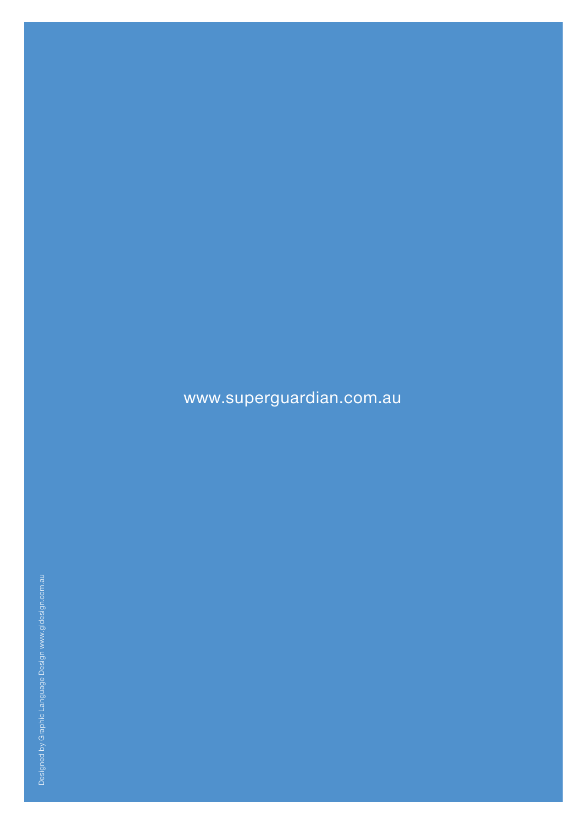# www.superguardian.com.au

Designed by Graphic Language Design www.gldesign.com.au